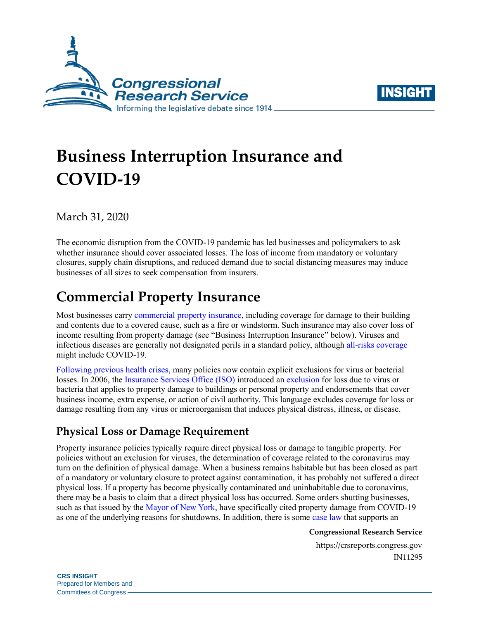



# **Business Interruption Insurance and COVID-19**

March 31, 2020

The economic disruption from the COVID-19 pandemic has led businesses and policymakers to ask whether insurance should cover associated losses. The loss of income from mandatory or voluntary closures, supply chain disruptions, and reduced demand due to social distancing measures may induce businesses of all sizes to seek compensation from insurers.

# **Commercial Property Insurance**

Most businesses carry [commercial property insurance,](https://content.naic.org/consumer_glossary.htm#C) including coverage for damage to their building and contents due to a covered cause, such as a fire or windstorm. Such insurance may also cover loss of income resulting from property damage (see "Business Interruption Insurance" below). Viruses and infectious diseases are generally not designated perils in a standard policy, although [all-risks coverage](https://content.naic.org/consumer_glossary.htm#A) might include COVID-19.

[Following previous health crises,](https://www.wsj.com/articles/why-many-businesses-will-be-on-the-hook-for-coronavirus-losses-11582282802) many policies now contain explicit exclusions for virus or bacterial losses. In 2006, the [Insurance Services Office \(ISO\)](https://www.verisk.com/insurance/brands/iso/) introduced an [exclusion](https://www.propertyinsurancecoveragelaw.com/files/2020/03/ISO-Circular-LI-CF-2006-175-Virus.pdf) for loss due to virus or bacteria that applies to property damage to buildings or personal property and endorsements that cover business income, extra expense, or action of civil authority. This language excludes coverage for loss or damage resulting from any virus or microorganism that induces physical distress, illness, or disease.

### **Physical Loss or Damage Requirement**

Property insurance policies typically require direct physical loss or damage to tangible property. For policies without an exclusion for viruses, the determination of coverage related to the coronavirus may turn on the definition of physical damage. When a business remains habitable but has been closed as part of a mandatory or voluntary closure to protect against contamination, it has probably not suffered a direct physical loss. If a property has become physically contaminated and uninhabitable due to coronavirus, there may be a basis to claim that a direct physical loss has occurred. Some orders shutting businesses, such as that issued by the [Mayor of New York,](https://www1.nyc.gov/assets/home/downloads/pdf/executive-orders/2020/eeo-101.pdf) have specifically cited property damage from COVID-19 as one of the underlying reasons for shutdowns. In addition, there is some [case law](https://www.lexology.com/library/detail.aspx?g=49c91b2d-1c71-4122-88fc-a2a096f04ca4) that supports an

**Congressional Research Service**

https://crsreports.congress.gov IN11295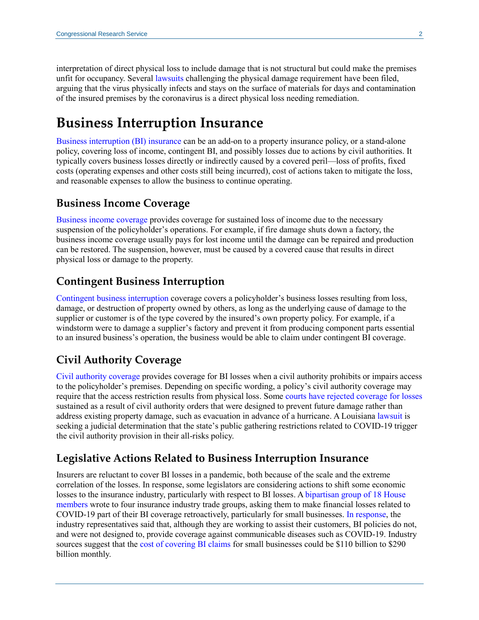interpretation of direct physical loss to include damage that is not structural but could make the premises unfit for occupancy. Several [lawsuits](https://www.insurancejournal.com/news/national/2020/03/27/562627.htm) challenging the physical damage requirement have been filed, arguing that the virus physically infects and stays on the surface of materials for days and contamination of the insured premises by the coronavirus is a direct physical loss needing remediation.

## **Business Interruption Insurance**

[Business interruption](https://content.naic.org/consumer_glossary.htm#B) (BI) insurance can be an add-on to a property insurance policy, or a stand-alone policy, covering loss of income, contingent BI, and possibly losses due to actions by civil authorities. It typically covers business losses directly or indirectly caused by a covered peril—loss of profits, fixed costs (operating expenses and other costs still being incurred), cost of actions taken to mitigate the loss, and reasonable expenses to allow the business to continue operating.

#### **Business Income Coverage**

[Business income coverage](https://www.irmi.com/term/insurance-definitions/business-income-coverage) provides coverage for sustained loss of income due to the necessary suspension of the policyholder's operations. For example, if fire damage shuts down a factory, the business income coverage usually pays for lost income until the damage can be repaired and production can be restored. The suspension, however, must be caused by a covered cause that results in direct physical loss or damage to the property.

#### **Contingent Business Interruption**

[Contingent business interruption](https://www.insurancejournal.com/magazines/mag-ideaexchange/2019/03/04/519220.htm) coverage covers a policyholder's business losses resulting from loss, damage, or destruction of property owned by others, as long as the underlying cause of damage to the supplier or customer is of the type covered by the insured's own property policy. For example, if a windstorm were to damage a supplier's factory and prevent it from producing component parts essential to an insured business's operation, the business would be able to claim under contingent BI coverage.

#### **Civil Authority Coverage**

[Civil authority coverage](https://www.investopedia.com/terms/c/civil-authority-clause.asp) provides coverage for BI losses when a civil authority prohibits or impairs access to the policyholder's premises. Depending on specific wording, a policy's civil authority coverage may require that the access restriction results from physical loss. Some [courts have rejected coverage for losses](https://www.jdsupra.com/legalnews/governmental-orders-to-contain-the-20703/) sustained as a result of civil authority orders that were designed to prevent future damage rather than address existing property damage, such as evacuation in advance of a hurricane. A Louisiana [lawsuit](https://www.insurancejournal.com/research/app/uploads/2020/03/Oceana-Petition-for-Dec-J-executed.pdf) is seeking a judicial determination that the state's public gathering restrictions related to COVID-19 trigger the civil authority provision in their all-risks policy.

#### **Legislative Actions Related to Business Interruption Insurance**

Insurers are reluctant to cover BI losses in a pandemic, both because of the scale and the extreme correlation of the losses. In response, some legislators are considering actions to shift some economic losses to the insurance industry, particularly with respect to BI losses. A [bipartisan group of 18 House](https://cunningham.house.gov/sites/cunningham.house.gov/files/wysiwyg_uploaded/Signed%20BII%20Letter_Final.pdf)  [members](https://cunningham.house.gov/sites/cunningham.house.gov/files/wysiwyg_uploaded/Signed%20BII%20Letter_Final.pdf) wrote to four insurance industry trade groups, asking them to make financial losses related to COVID-19 part of their BI coverage retroactively, particularly for small businesses. [In response,](https://www.hinshawlaw.com/assets/htmldocuments/Alerts/Joint_Trades_Response_1584664268.pdf) the industry representatives said that, although they are working to assist their customers, BI policies do not, and were not designed to, provide coverage against communicable diseases such as COVID-19. Industry sources suggest that the [cost of covering BI claims](https://www.ft.com/content/680cf9a3-8fd0-4e33-83a6-b13ba06e35e6) for small businesses could be \$110 billion to \$290 billion monthly.